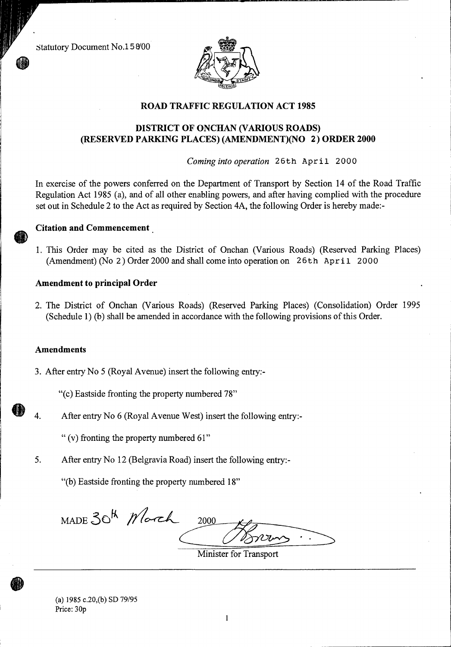Statutory Document No.15 8/00



## **ROAD TRAFFIC REGULATION ACT 1985**

## **DISTRICT OF ONCHAN (VARIOUS ROADS) (RESERVED PARKING PLACES) (AMENDMENT)(NO 2) ORDER 2000**

*Coming into operation* 26th April 2000

In exercise of the powers conferred on the Department of Transport by Section 14 of the Road Traffic Regulation Act 1985 (a), and of all other enabling powers, and after having complied with the procedure set out in Schedule 2 to the Act as required by Section 4A, the following Order is hereby made:-

## **Citation and Commencement**

1. This Order may be cited as the District of Onchan (Various Roads) (Reserved Parking Places) (Amendment) (No 2) Order 2000 and shall come into operation on 26th April 2000

#### **Amendment to principal Order**

2. The District of Onchan (Various Roads) (Reserved Parking Places) (Consolidation) Order 1995 (Schedule 1) (b) shall be amended in accordance with the following provisions of this Order.

#### **Amendments**

3. After entry No 5 (Royal Avenue) insert the following entry:-

"(c) Eastside fronting the property numbered 78"

4. After entry No 6 (Royal Avenue West) insert the following entry:-

" (v) fronting the property numbered 61"

5. After entry No 12 (Belgravia Road) insert the following entry:-

"(b) Eastside fronting the property numbered 18"

MADE 30<sup>th</sup> *Morch* 2000

Minister for Transport

(a) 1985 c.20,(b) SD 79/95 Price: 30p

 $\mathbf{1}$